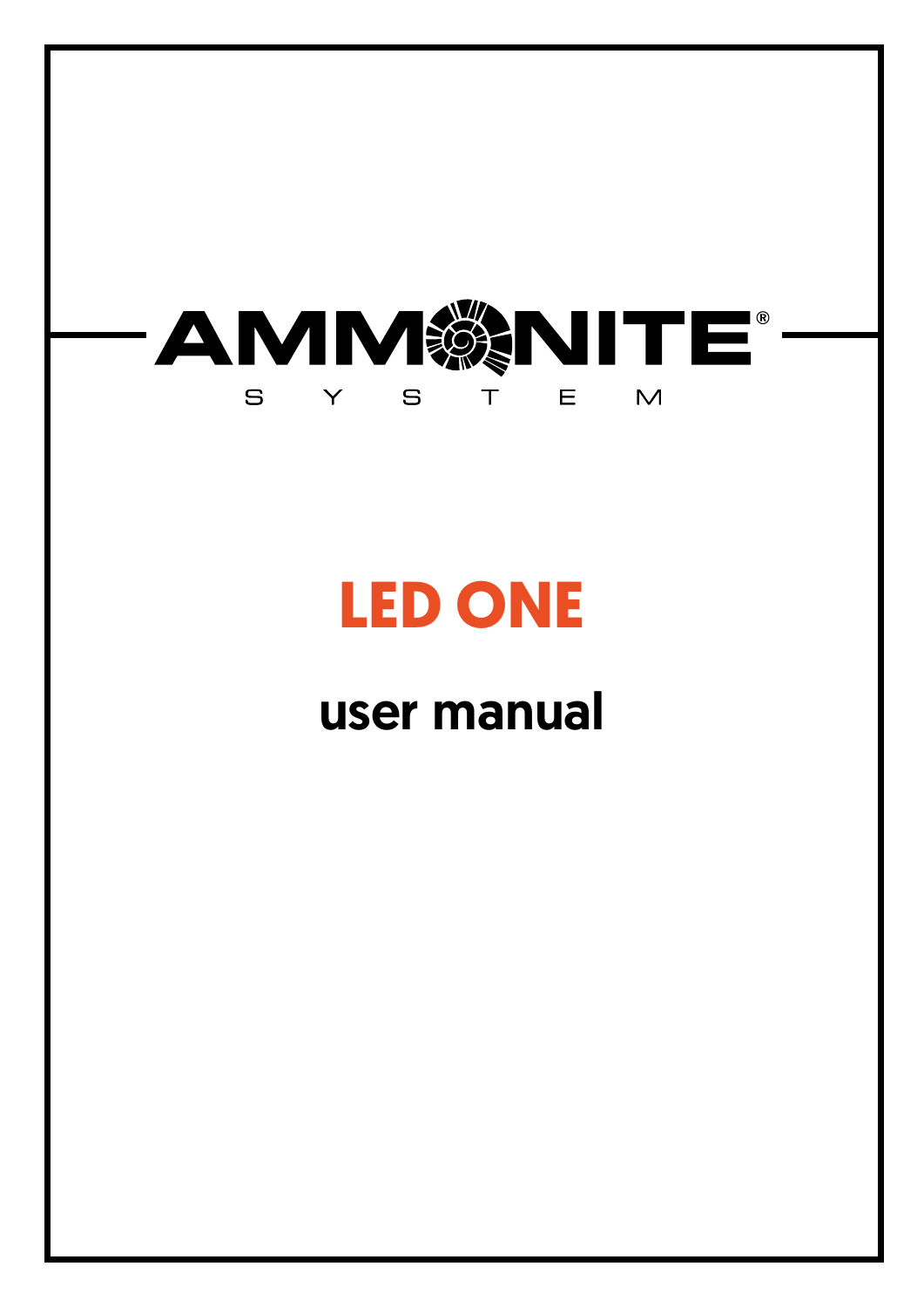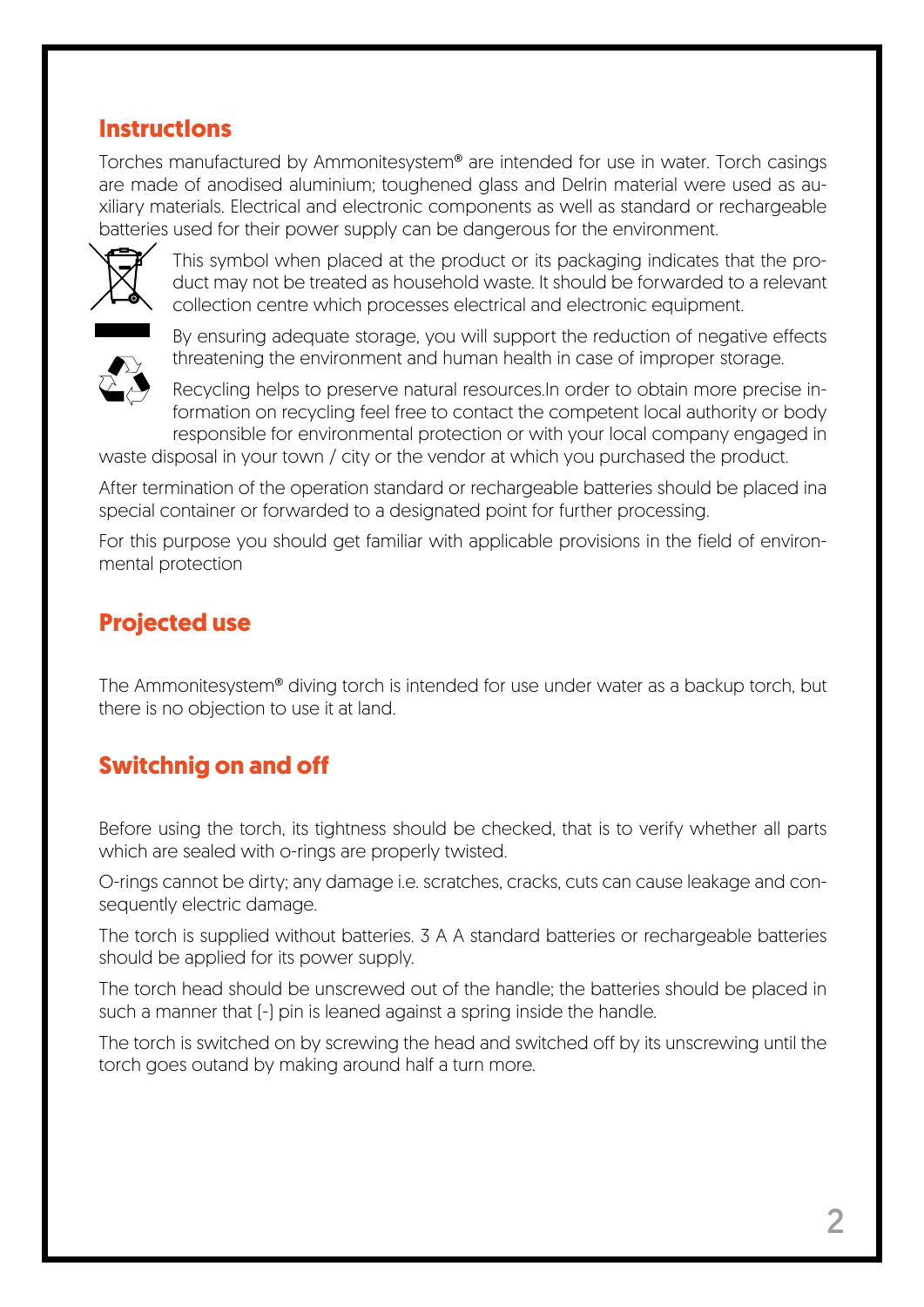### **InstructIons**

Torches manufactured by Ammonitesystem® are intended for use in water. Torch casings are made of anodised aluminium; toughened glass and Delrin material were used as auxiliary materials. Electrical and electronic components as well as standard or rechargeable batteries used for their power supply can be dangerous for the environment.



This symbol when placed at the product or its packaging indicates that the product may not be treated as household waste. It should be forwarded to a relevant collection centre which processes electrical and electronic equipment.



By ensuring adequate storage, you will support the reduction of negative effects threatening the environment and human health in case of improper storage.

Recycling helps to preserve natural resources.In order to obtain more precise information on recycling feel free to contact the competent local authority or body responsible for environmental protection or with your local company engaged in

waste disposal in your town / city or the vendor at which you purchased the product.

After termination of the operation standard or rechargeable batteries should be placed ina special container or forwarded to a designated point for further processing.

For this purpose you should get familiar with applicable provisions in the field of environmental protection

## **Projected use**

The Ammonitesystem® diving torch is intended for use under water as a backup torch, but there is no objection to use it at land.

# **Switchnig on and off**

Before using the torch, its tightness should be checked, that is to verify whether all parts which are sealed with o-rings are properly twisted.

O-rings cannot be dirty; any damage i.e. scratches, cracks, cuts can cause leakage and consequently electric damage.

The torch is supplied without batteries. 3 A A standard batteries or rechargeable batteries should be applied for its power supply.

The torch head should be unscrewed out of the handle; the batteries should be placed in such a manner that [-] pin is leaned against a spring inside the handle.

The torch is switched on by screwing the head and switched off by its unscrewing until the torch goes outand by making around half a turn more.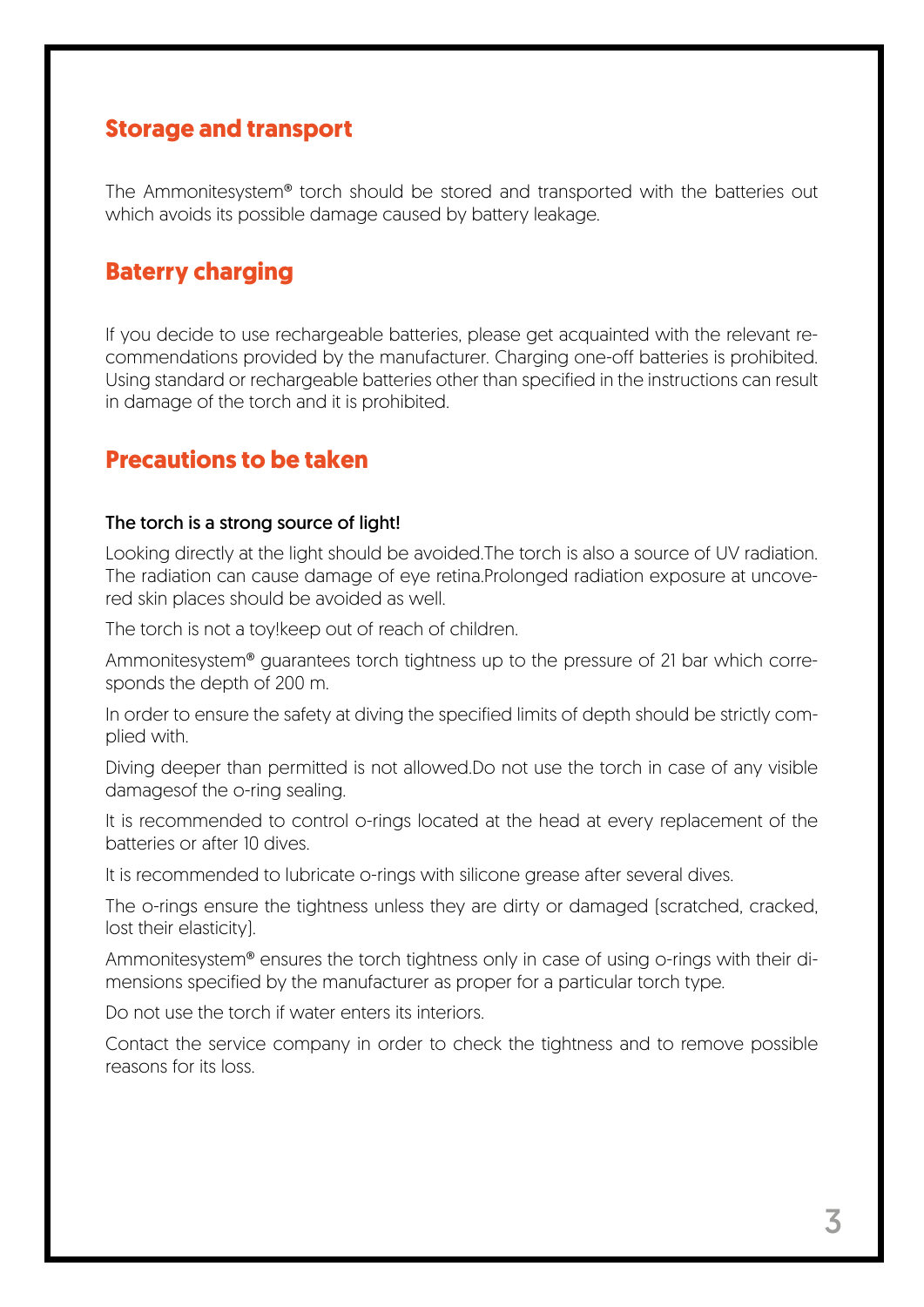#### **Storage and transport**

The Ammonitesystem® torch should be stored and transported with the batteries out which avoids its possible damage caused by battery leakage.

# **Baterry charging**

If you decide to use rechargeable batteries, please get acquainted with the relevant recommendations provided by the manufacturer. Charging one-off batteries is prohibited. Using standard or rechargeable batteries other than specified in the instructions can result in damage of the torch and it is prohibited.

## **Precautions to be taken**

#### The torch is a strong source of light!

Looking directly at the light should be avoided.The torch is also a source of UV radiation. The radiation can cause damage of eye retina.Prolonged radiation exposure at uncovered skin places should be avoided as well.

The torch is not a toy!keep out of reach of children.

Ammonitesystem® guarantees torch tightness up to the pressure of 21 bar which corresponds the depth of 200 m.

In order to ensure the safety at diving the specified limits of depth should be strictly complied with.

Diving deeper than permitted is not allowed.Do not use the torch in case of any visible damagesof the o-ring sealing.

It is recommended to control o-rings located at the head at every replacement of the batteries or after 10 dives.

It is recommended to lubricate o-rings with silicone grease after several dives.

The o-rings ensure the tightness unless they are dirty or damaged (scratched, cracked, lost their elasticity).

Ammonitesystem® ensures the torch tightness only in case of using o-rings with their dimensions specified by the manufacturer as proper for a particular torch type.

Do not use the torch if water enters its interiors.

Contact the service company in order to check the tightness and to remove possible reasons for its loss.